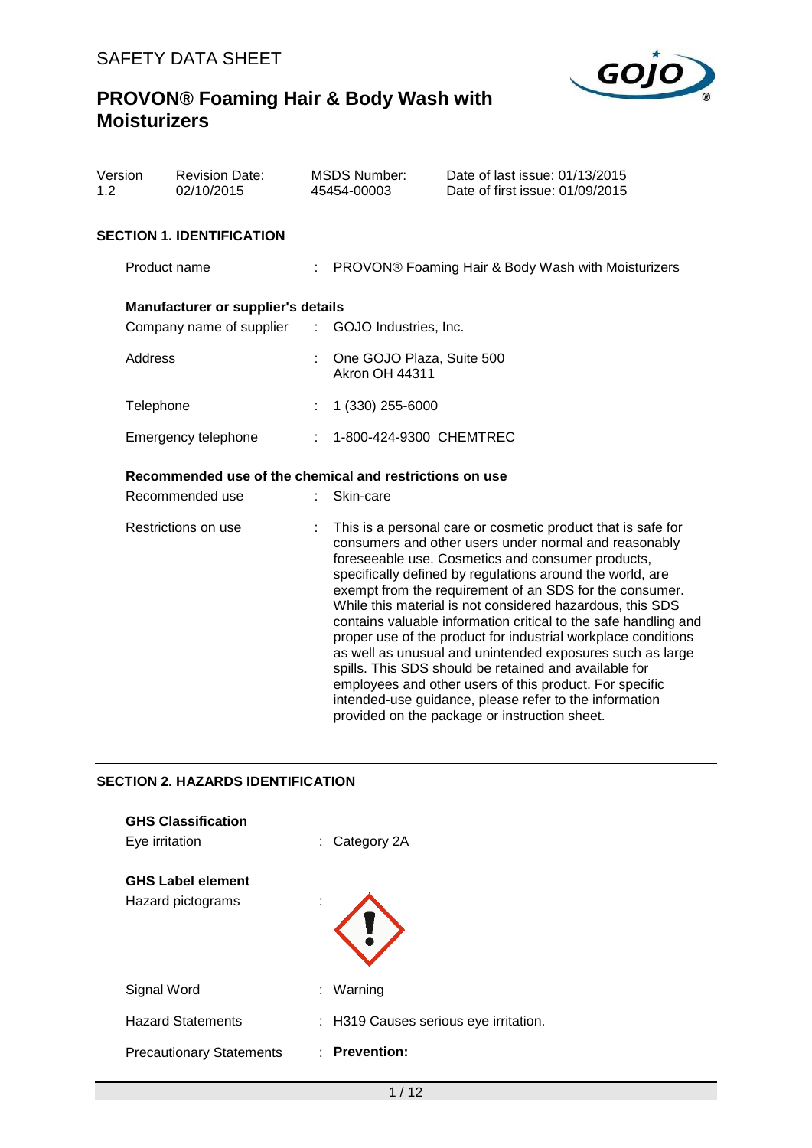

| Version<br>1.2 |                     | <b>Revision Date:</b><br>02/10/2015 |                                                         | <b>MSDS Number:</b><br>45454-00003                   | Date of last issue: 01/13/2015<br>Date of first issue: 01/09/2015                                                                                                                                                                                                                                                                                                                                                                                                                                                                                                                                                                                                                                                                                                                               |  |  |  |
|----------------|---------------------|-------------------------------------|---------------------------------------------------------|------------------------------------------------------|-------------------------------------------------------------------------------------------------------------------------------------------------------------------------------------------------------------------------------------------------------------------------------------------------------------------------------------------------------------------------------------------------------------------------------------------------------------------------------------------------------------------------------------------------------------------------------------------------------------------------------------------------------------------------------------------------------------------------------------------------------------------------------------------------|--|--|--|
|                |                     | <b>SECTION 1. IDENTIFICATION</b>    |                                                         |                                                      |                                                                                                                                                                                                                                                                                                                                                                                                                                                                                                                                                                                                                                                                                                                                                                                                 |  |  |  |
|                | Product name        |                                     |                                                         | : PROVON® Foaming Hair & Body Wash with Moisturizers |                                                                                                                                                                                                                                                                                                                                                                                                                                                                                                                                                                                                                                                                                                                                                                                                 |  |  |  |
|                |                     | Manufacturer or supplier's details  |                                                         |                                                      |                                                                                                                                                                                                                                                                                                                                                                                                                                                                                                                                                                                                                                                                                                                                                                                                 |  |  |  |
|                |                     | Company name of supplier            |                                                         | : GOJO Industries, Inc.                              |                                                                                                                                                                                                                                                                                                                                                                                                                                                                                                                                                                                                                                                                                                                                                                                                 |  |  |  |
|                | Address             |                                     |                                                         | One GOJO Plaza, Suite 500<br><b>Akron OH 44311</b>   |                                                                                                                                                                                                                                                                                                                                                                                                                                                                                                                                                                                                                                                                                                                                                                                                 |  |  |  |
|                | Telephone           |                                     |                                                         | 1 (330) 255-6000                                     |                                                                                                                                                                                                                                                                                                                                                                                                                                                                                                                                                                                                                                                                                                                                                                                                 |  |  |  |
|                | Emergency telephone |                                     |                                                         | : 1-800-424-9300 CHEMTREC                            |                                                                                                                                                                                                                                                                                                                                                                                                                                                                                                                                                                                                                                                                                                                                                                                                 |  |  |  |
|                |                     |                                     | Recommended use of the chemical and restrictions on use |                                                      |                                                                                                                                                                                                                                                                                                                                                                                                                                                                                                                                                                                                                                                                                                                                                                                                 |  |  |  |
|                |                     | Recommended use                     |                                                         | Skin-care                                            |                                                                                                                                                                                                                                                                                                                                                                                                                                                                                                                                                                                                                                                                                                                                                                                                 |  |  |  |
|                | Restrictions on use |                                     |                                                         |                                                      | This is a personal care or cosmetic product that is safe for<br>consumers and other users under normal and reasonably<br>foreseeable use. Cosmetics and consumer products,<br>specifically defined by regulations around the world, are<br>exempt from the requirement of an SDS for the consumer.<br>While this material is not considered hazardous, this SDS<br>contains valuable information critical to the safe handling and<br>proper use of the product for industrial workplace conditions<br>as well as unusual and unintended exposures such as large<br>spills. This SDS should be retained and available for<br>employees and other users of this product. For specific<br>intended-use guidance, please refer to the information<br>provided on the package or instruction sheet. |  |  |  |

## **SECTION 2. HAZARDS IDENTIFICATION**

| <b>GHS Classification</b><br>Eye irritation   |   | $:$ Category 2A                       |
|-----------------------------------------------|---|---------------------------------------|
| <b>GHS Label element</b><br>Hazard pictograms | ٠ |                                       |
| Signal Word                                   |   | : Warning                             |
| <b>Hazard Statements</b>                      |   | : H319 Causes serious eye irritation. |
| <b>Precautionary Statements</b>               |   | $:$ Prevention:                       |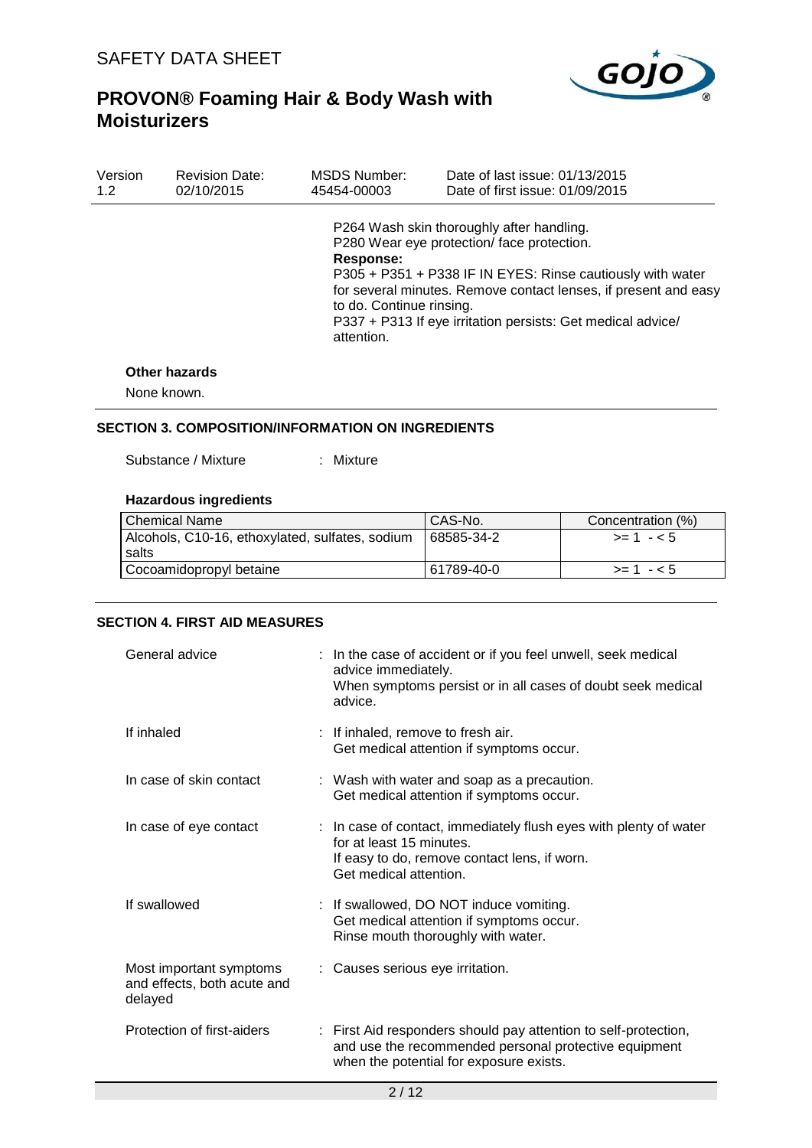

| Version | <b>Revision Date:</b> | MSDS Number:                                        | Date of last issue: 01/13/2015                                                                                                                                                                                                                                                         |
|---------|-----------------------|-----------------------------------------------------|----------------------------------------------------------------------------------------------------------------------------------------------------------------------------------------------------------------------------------------------------------------------------------------|
| 1.2     | 02/10/2015            | 45454-00003                                         | Date of first issue: 01/09/2015                                                                                                                                                                                                                                                        |
|         |                       | Response:<br>to do. Continue rinsing.<br>attention. | P264 Wash skin thoroughly after handling.<br>P280 Wear eye protection/face protection.<br>P305 + P351 + P338 IF IN EYES: Rinse cautiously with water<br>for several minutes. Remove contact lenses, if present and easy<br>P337 + P313 If eye irritation persists: Get medical advice/ |

#### **Other hazards**

None known.

## **SECTION 3. COMPOSITION/INFORMATION ON INGREDIENTS**

Substance / Mixture : Mixture

#### **Hazardous ingredients**

| <b>Chemical Name</b>                                     | CAS-No.    | Concentration (%) |
|----------------------------------------------------------|------------|-------------------|
| Alcohols, C10-16, ethoxylated, sulfates, sodium<br>salts | 68585-34-2 | $>= 1 - 5$        |
| Cocoamidopropyl betaine                                  | 61789-40-0 | $>1 - 5$          |

## **SECTION 4. FIRST AID MEASURES**

| General advice                                                    | : In the case of accident or if you feel unwell, seek medical<br>advice immediately.<br>When symptoms persist or in all cases of doubt seek medical<br>advice.          |
|-------------------------------------------------------------------|-------------------------------------------------------------------------------------------------------------------------------------------------------------------------|
| If inhaled                                                        | : If inhaled, remove to fresh air.<br>Get medical attention if symptoms occur.                                                                                          |
| In case of skin contact                                           | : Wash with water and soap as a precaution.<br>Get medical attention if symptoms occur.                                                                                 |
| In case of eye contact                                            | : In case of contact, immediately flush eyes with plenty of water<br>for at least 15 minutes.<br>If easy to do, remove contact lens, if worn.<br>Get medical attention. |
| If swallowed                                                      | : If swallowed, DO NOT induce vomiting.<br>Get medical attention if symptoms occur.<br>Rinse mouth thoroughly with water.                                               |
| Most important symptoms<br>and effects, both acute and<br>delayed | : Causes serious eye irritation.                                                                                                                                        |
| Protection of first-aiders                                        | : First Aid responders should pay attention to self-protection,<br>and use the recommended personal protective equipment<br>when the potential for exposure exists.     |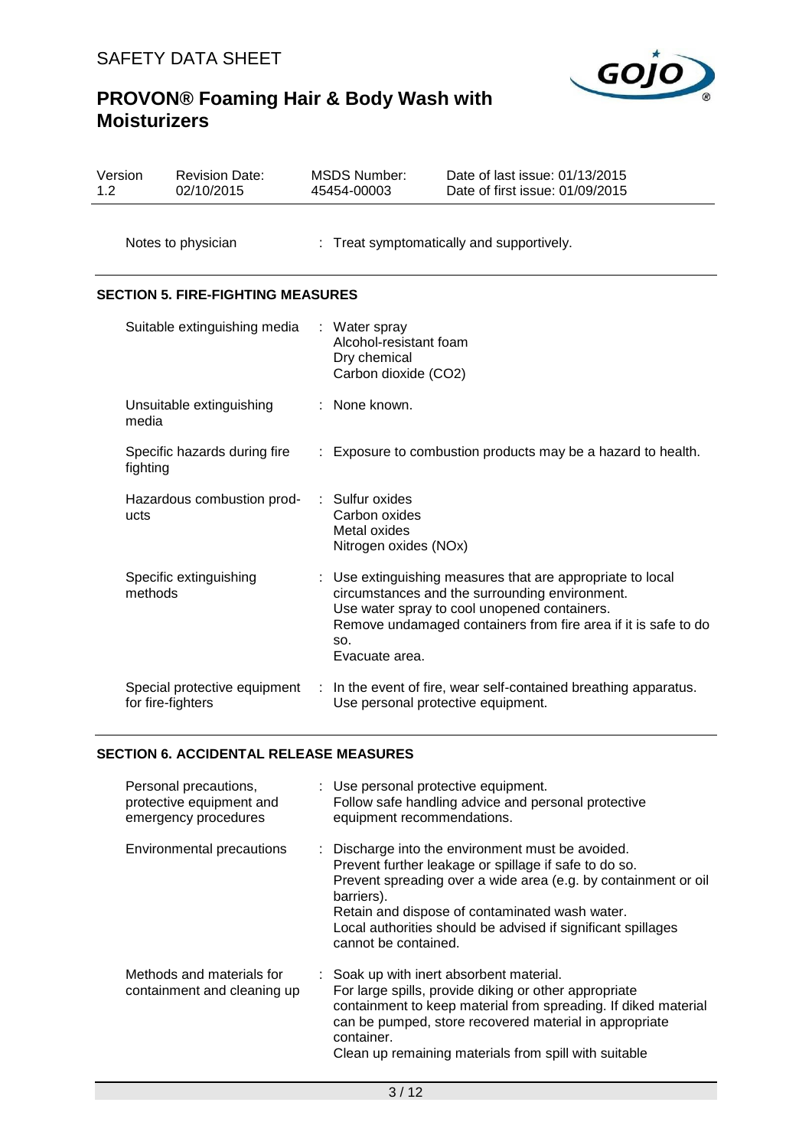# GOJO

# **PROVON® Foaming Hair & Body Wash with Moisturizers**

| Version<br>1.2                           | <b>Revision Date:</b><br>02/10/2015               | <b>MSDS Number:</b><br>45454-00003                                              | Date of last issue: 01/13/2015<br>Date of first issue: 01/09/2015                                                                                                                                                              |  |  |
|------------------------------------------|---------------------------------------------------|---------------------------------------------------------------------------------|--------------------------------------------------------------------------------------------------------------------------------------------------------------------------------------------------------------------------------|--|--|
|                                          | Notes to physician                                |                                                                                 | : Treat symptomatically and supportively.                                                                                                                                                                                      |  |  |
|                                          | <b>SECTION 5. FIRE-FIGHTING MEASURES</b>          |                                                                                 |                                                                                                                                                                                                                                |  |  |
|                                          | Suitable extinguishing media                      | : Water spray<br>Alcohol-resistant foam<br>Dry chemical<br>Carbon dioxide (CO2) |                                                                                                                                                                                                                                |  |  |
| Unsuitable extinguishing<br>media        |                                                   | None known.                                                                     |                                                                                                                                                                                                                                |  |  |
| Specific hazards during fire<br>fighting |                                                   |                                                                                 | : Exposure to combustion products may be a hazard to health.                                                                                                                                                                   |  |  |
| Hazardous combustion prod-<br>ucts       |                                                   | Sulfur oxides<br>Carbon oxides<br>Metal oxides<br>Nitrogen oxides (NOx)         |                                                                                                                                                                                                                                |  |  |
|                                          | Specific extinguishing<br>methods                 | SO.<br>Evacuate area.                                                           | : Use extinguishing measures that are appropriate to local<br>circumstances and the surrounding environment.<br>Use water spray to cool unopened containers.<br>Remove undamaged containers from fire area if it is safe to do |  |  |
|                                          | Special protective equipment<br>for fire-fighters | Use personal protective equipment.                                              | In the event of fire, wear self-contained breathing apparatus.                                                                                                                                                                 |  |  |

# **SECTION 6. ACCIDENTAL RELEASE MEASURES**

| Personal precautions,<br>protective equipment and<br>emergency procedures | : Use personal protective equipment.<br>Follow safe handling advice and personal protective<br>equipment recommendations.                                                                                                                                                                                                            |
|---------------------------------------------------------------------------|--------------------------------------------------------------------------------------------------------------------------------------------------------------------------------------------------------------------------------------------------------------------------------------------------------------------------------------|
| Environmental precautions                                                 | : Discharge into the environment must be avoided.<br>Prevent further leakage or spillage if safe to do so.<br>Prevent spreading over a wide area (e.g. by containment or oil<br>barriers).<br>Retain and dispose of contaminated wash water.<br>Local authorities should be advised if significant spillages<br>cannot be contained. |
| Methods and materials for<br>containment and cleaning up                  | : Soak up with inert absorbent material.<br>For large spills, provide diking or other appropriate<br>containment to keep material from spreading. If diked material<br>can be pumped, store recovered material in appropriate<br>container.<br>Clean up remaining materials from spill with suitable                                 |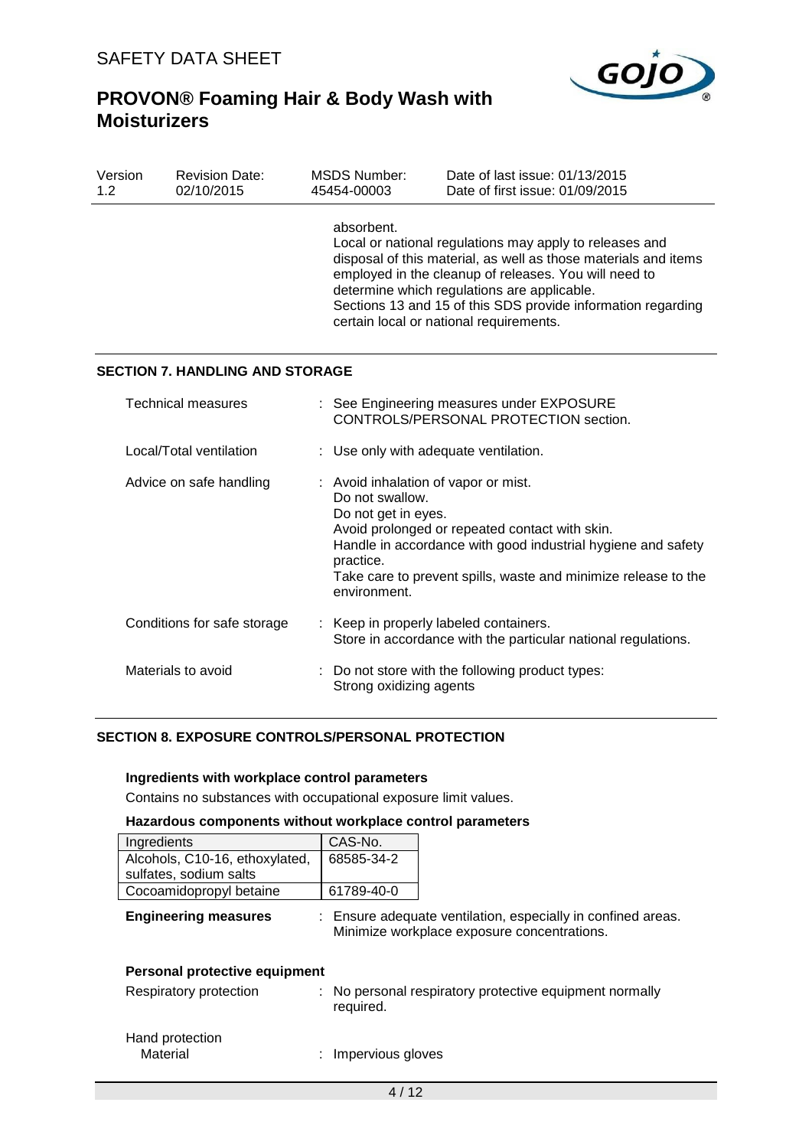

| Version<br>1.2          | <b>Revision Date:</b><br>02/10/2015    |  | <b>MSDS Number:</b><br>45454-00003                                                                                                                                                                                                                                                                                                                          | Date of last issue: 01/13/2015<br>Date of first issue: 01/09/2015                  |  |
|-------------------------|----------------------------------------|--|-------------------------------------------------------------------------------------------------------------------------------------------------------------------------------------------------------------------------------------------------------------------------------------------------------------------------------------------------------------|------------------------------------------------------------------------------------|--|
|                         |                                        |  | absorbent.<br>Local or national regulations may apply to releases and<br>disposal of this material, as well as those materials and items<br>employed in the cleanup of releases. You will need to<br>determine which regulations are applicable.<br>Sections 13 and 15 of this SDS provide information regarding<br>certain local or national requirements. |                                                                                    |  |
|                         | <b>SECTION 7. HANDLING AND STORAGE</b> |  |                                                                                                                                                                                                                                                                                                                                                             |                                                                                    |  |
|                         | <b>Technical measures</b>              |  |                                                                                                                                                                                                                                                                                                                                                             | : See Engineering measures under EXPOSURE<br>CONTROLS/PERSONAL PROTECTION section. |  |
| Local/Total ventilation |                                        |  | : Use only with adequate ventilation.                                                                                                                                                                                                                                                                                                                       |                                                                                    |  |
|                         | Advice on safe handling                |  | : Avoid inhalation of vapor or mist.<br>Do not swallow.<br>Do not get in eyes.<br>Avoid prolonged or repeated contact with skin.<br>Handle in accordance with good industrial hygiene and safety<br>practice.<br>Take care to prevent spills, waste and minimize release to the<br>environment.                                                             |                                                                                    |  |
|                         | Conditions for safe storage            |  | : Keep in properly labeled containers.                                                                                                                                                                                                                                                                                                                      | Store in accordance with the particular national regulations.                      |  |
|                         | Materials to avoid                     |  | Strong oxidizing agents                                                                                                                                                                                                                                                                                                                                     | Do not store with the following product types:                                     |  |

# **SECTION 8. EXPOSURE CONTROLS/PERSONAL PROTECTION**

#### **Ingredients with workplace control parameters**

Contains no substances with occupational exposure limit values.

#### **Hazardous components without workplace control parameters**

| Ingredients                    | CAS-No.    |                                                                                                             |
|--------------------------------|------------|-------------------------------------------------------------------------------------------------------------|
| Alcohols, C10-16, ethoxylated, | 68585-34-2 |                                                                                                             |
| sulfates, sodium salts         |            |                                                                                                             |
| Cocoamidopropyl betaine        | 61789-40-0 |                                                                                                             |
| <b>Engineering measures</b>    |            | : Ensure adequate ventilation, especially in confined areas.<br>Minimize workplace exposure concentrations. |
| Personal protective equipment  |            |                                                                                                             |
| Respiratory protection         |            | : No personal respiratory protective equipment normally                                                     |

required.

| Hand protection |                     |
|-----------------|---------------------|
| Material        | : Impervious gloves |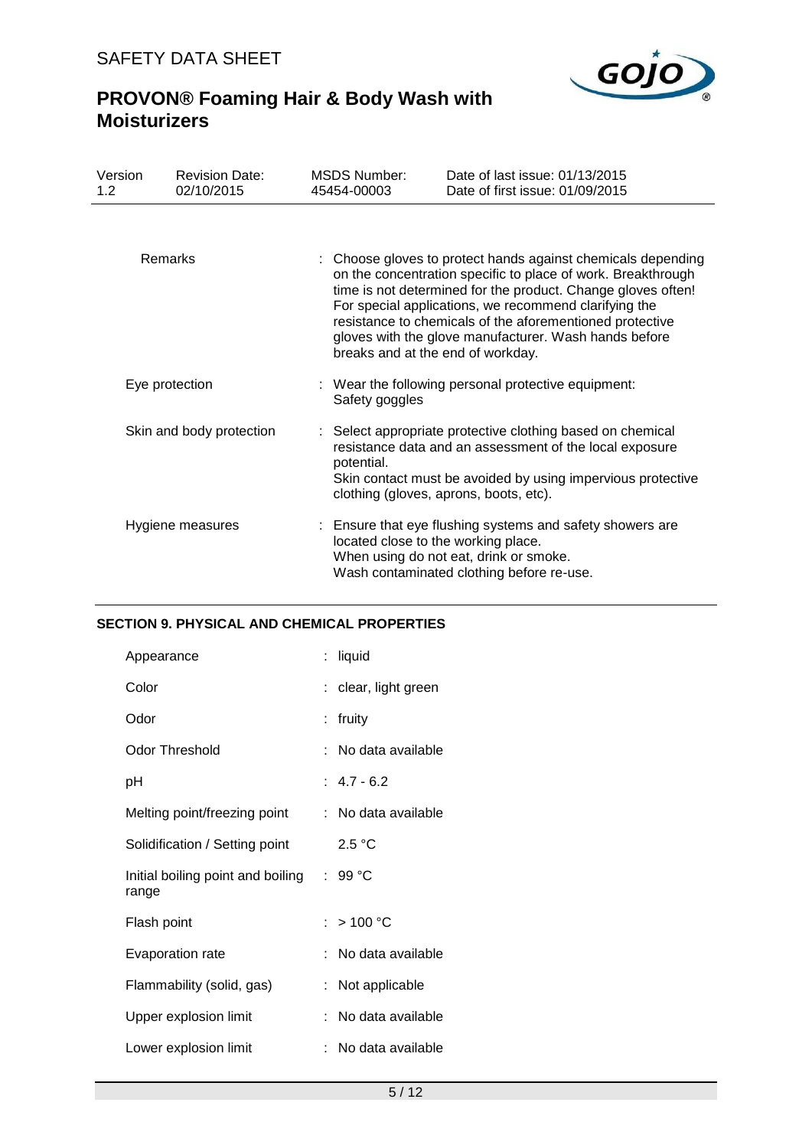

| Version<br>1.2           | <b>Revision Date:</b><br>02/10/2015 | <b>MSDS Number:</b><br>45454-00003                                                                                                                                                                                                                                                                                                                                                                              | Date of last issue: 01/13/2015<br>Date of first issue: 01/09/2015                                                                                |  |  |
|--------------------------|-------------------------------------|-----------------------------------------------------------------------------------------------------------------------------------------------------------------------------------------------------------------------------------------------------------------------------------------------------------------------------------------------------------------------------------------------------------------|--------------------------------------------------------------------------------------------------------------------------------------------------|--|--|
|                          |                                     |                                                                                                                                                                                                                                                                                                                                                                                                                 |                                                                                                                                                  |  |  |
| Remarks                  |                                     | : Choose gloves to protect hands against chemicals depending<br>on the concentration specific to place of work. Breakthrough<br>time is not determined for the product. Change gloves often!<br>For special applications, we recommend clarifying the<br>resistance to chemicals of the aforementioned protective<br>gloves with the glove manufacturer. Wash hands before<br>breaks and at the end of workday. |                                                                                                                                                  |  |  |
| Eye protection           |                                     | : Wear the following personal protective equipment:<br>Safety goggles                                                                                                                                                                                                                                                                                                                                           |                                                                                                                                                  |  |  |
| Skin and body protection |                                     | : Select appropriate protective clothing based on chemical<br>resistance data and an assessment of the local exposure<br>potential.<br>Skin contact must be avoided by using impervious protective<br>clothing (gloves, aprons, boots, etc).                                                                                                                                                                    |                                                                                                                                                  |  |  |
|                          | Hygiene measures                    | located close to the working place.                                                                                                                                                                                                                                                                                                                                                                             | : Ensure that eye flushing systems and safety showers are<br>When using do not eat, drink or smoke.<br>Wash contaminated clothing before re-use. |  |  |

# **SECTION 9. PHYSICAL AND CHEMICAL PROPERTIES**

| Appearance                                 |    | : liquid            |
|--------------------------------------------|----|---------------------|
| Color                                      |    | clear, light green  |
| Odor                                       |    | fruity              |
| Odor Threshold                             |    | No data available   |
| рH                                         |    | $: 4.7 - 6.2$       |
| Melting point/freezing point               |    | : No data available |
| Solidification / Setting point             |    | 2.5 °C              |
| Initial boiling point and boiling<br>range |    | : 99 °C             |
| Flash point                                |    | :>100 °C            |
| Evaporation rate                           | t. | No data available   |
| Flammability (solid, gas)                  |    | Not applicable      |
| Upper explosion limit                      | t. | No data available   |
| Lower explosion limit                      |    | No data available   |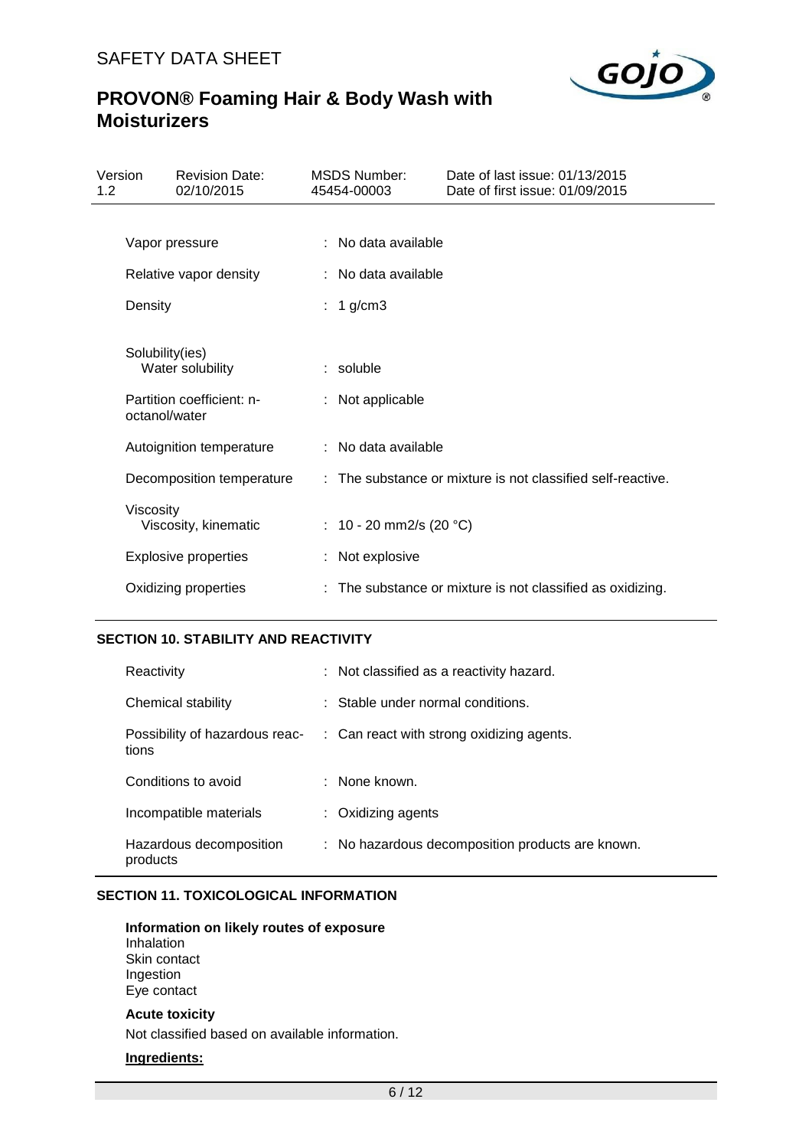

| Version<br>1.2 |                 | <b>Revision Date:</b><br>02/10/2015 | <b>MSDS Number:</b><br>45454-00003 | Date of last issue: 01/13/2015<br>Date of first issue: 01/09/2015 |
|----------------|-----------------|-------------------------------------|------------------------------------|-------------------------------------------------------------------|
|                |                 |                                     |                                    |                                                                   |
|                | Vapor pressure  |                                     | : No data available                |                                                                   |
|                |                 | Relative vapor density              | : No data available                |                                                                   |
|                | Density         |                                     | : 1 g/cm3                          |                                                                   |
|                | Solubility(ies) | Water solubility                    | : soluble                          |                                                                   |
|                | octanol/water   | Partition coefficient: n-           | : Not applicable                   |                                                                   |
|                |                 | Autoignition temperature            | : No data available                |                                                                   |
|                |                 | Decomposition temperature           |                                    | : The substance or mixture is not classified self-reactive.       |
|                | Viscosity       | Viscosity, kinematic                | : 10 - 20 mm2/s (20 °C)            |                                                                   |
|                |                 | <b>Explosive properties</b>         | : Not explosive                    |                                                                   |
|                |                 | Oxidizing properties                |                                    | : The substance or mixture is not classified as oxidizing.        |

## **SECTION 10. STABILITY AND REACTIVITY**

| Reactivity                              | : Not classified as a reactivity hazard.         |
|-----------------------------------------|--------------------------------------------------|
| Chemical stability                      | : Stable under normal conditions.                |
| Possibility of hazardous reac-<br>tions | : Can react with strong oxidizing agents.        |
| Conditions to avoid                     | $\therefore$ None known.                         |
| Incompatible materials                  | $\therefore$ Oxidizing agents                    |
| Hazardous decomposition<br>products     | : No hazardous decomposition products are known. |

# **SECTION 11. TOXICOLOGICAL INFORMATION**

#### **Information on likely routes of exposure**

Inhalation Skin contact Ingestion Eye contact

## **Acute toxicity**

Not classified based on available information.

## **Ingredients:**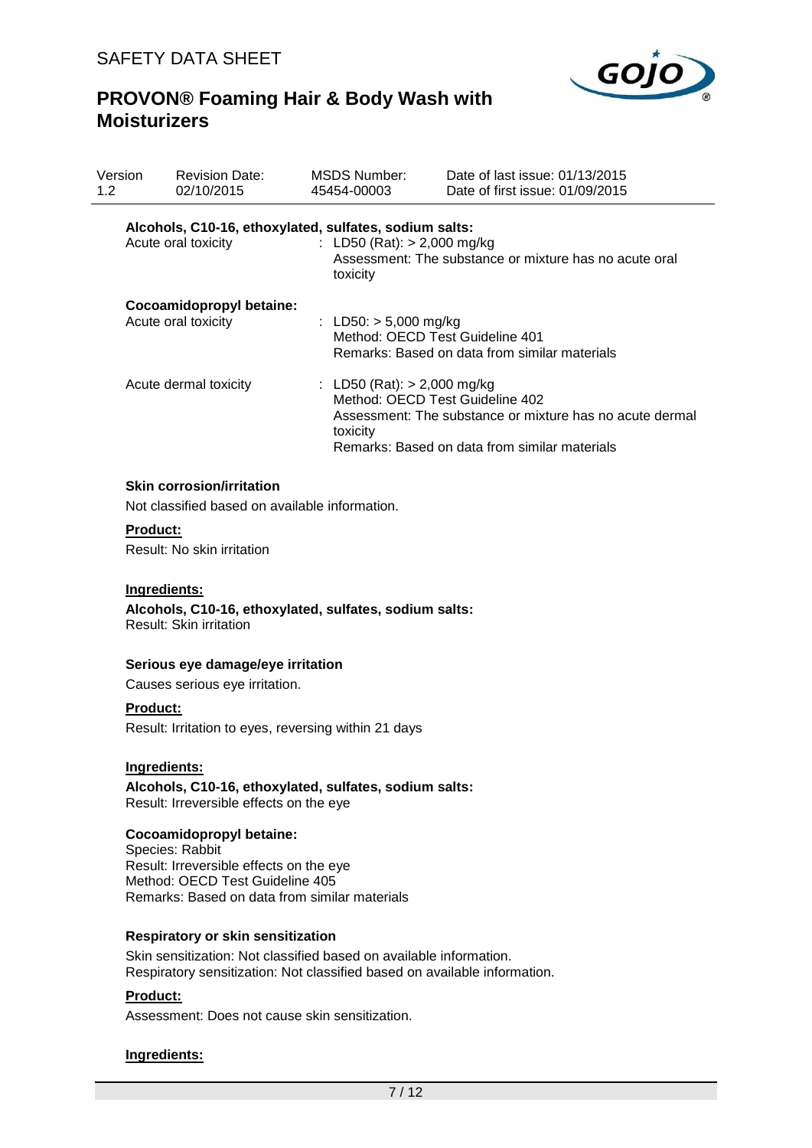

| Version<br>1.2                                                                                           |                                                                                                                                                                            | <b>Revision Date:</b><br>02/10/2015                                                                                                             | <b>MSDS Number:</b><br>45454-00003                                                                          |  | Date of last issue: 01/13/2015<br>Date of first issue: 01/09/2015                                                                            |  |
|----------------------------------------------------------------------------------------------------------|----------------------------------------------------------------------------------------------------------------------------------------------------------------------------|-------------------------------------------------------------------------------------------------------------------------------------------------|-------------------------------------------------------------------------------------------------------------|--|----------------------------------------------------------------------------------------------------------------------------------------------|--|
|                                                                                                          |                                                                                                                                                                            | Alcohols, C10-16, ethoxylated, sulfates, sodium salts:<br>Acute oral toxicity                                                                   | : LD50 (Rat): $> 2,000$ mg/kg<br>toxicity                                                                   |  | Assessment: The substance or mixture has no acute oral                                                                                       |  |
|                                                                                                          | Cocoamidopropyl betaine:<br>Acute oral toxicity                                                                                                                            |                                                                                                                                                 | : LD50: $> 5,000$ mg/kg<br>Method: OECD Test Guideline 401<br>Remarks: Based on data from similar materials |  |                                                                                                                                              |  |
|                                                                                                          |                                                                                                                                                                            | Acute dermal toxicity                                                                                                                           | : LD50 (Rat): $> 2,000$ mg/kg<br>toxicity                                                                   |  | Method: OECD Test Guideline 402<br>Assessment: The substance or mixture has no acute dermal<br>Remarks: Based on data from similar materials |  |
|                                                                                                          |                                                                                                                                                                            | <b>Skin corrosion/irritation</b><br>Not classified based on available information.                                                              |                                                                                                             |  |                                                                                                                                              |  |
| <b>Product:</b><br>Result: No skin irritation                                                            |                                                                                                                                                                            |                                                                                                                                                 |                                                                                                             |  |                                                                                                                                              |  |
| Ingredients:<br>Alcohols, C10-16, ethoxylated, sulfates, sodium salts:<br><b>Result: Skin irritation</b> |                                                                                                                                                                            |                                                                                                                                                 |                                                                                                             |  |                                                                                                                                              |  |
|                                                                                                          |                                                                                                                                                                            | Serious eye damage/eye irritation                                                                                                               |                                                                                                             |  |                                                                                                                                              |  |
|                                                                                                          |                                                                                                                                                                            | Causes serious eye irritation.                                                                                                                  |                                                                                                             |  |                                                                                                                                              |  |
| <b>Product:</b><br>Result: Irritation to eyes, reversing within 21 days                                  |                                                                                                                                                                            |                                                                                                                                                 |                                                                                                             |  |                                                                                                                                              |  |
|                                                                                                          | Ingredients:<br>Alcohols, C10-16, ethoxylated, sulfates, sodium salts:<br>Result: Irreversible effects on the eye                                                          |                                                                                                                                                 |                                                                                                             |  |                                                                                                                                              |  |
|                                                                                                          | Cocoamidopropyl betaine:<br>Species: Rabbit<br>Result: Irreversible effects on the eye<br>Method: OECD Test Guideline 405<br>Remarks: Based on data from similar materials |                                                                                                                                                 |                                                                                                             |  |                                                                                                                                              |  |
|                                                                                                          |                                                                                                                                                                            | Respiratory or skin sensitization                                                                                                               |                                                                                                             |  |                                                                                                                                              |  |
|                                                                                                          |                                                                                                                                                                            | Skin sensitization: Not classified based on available information.<br>Respiratory sensitization: Not classified based on available information. |                                                                                                             |  |                                                                                                                                              |  |
|                                                                                                          | Product:                                                                                                                                                                   |                                                                                                                                                 |                                                                                                             |  |                                                                                                                                              |  |

Assessment: Does not cause skin sensitization.

## **Ingredients:**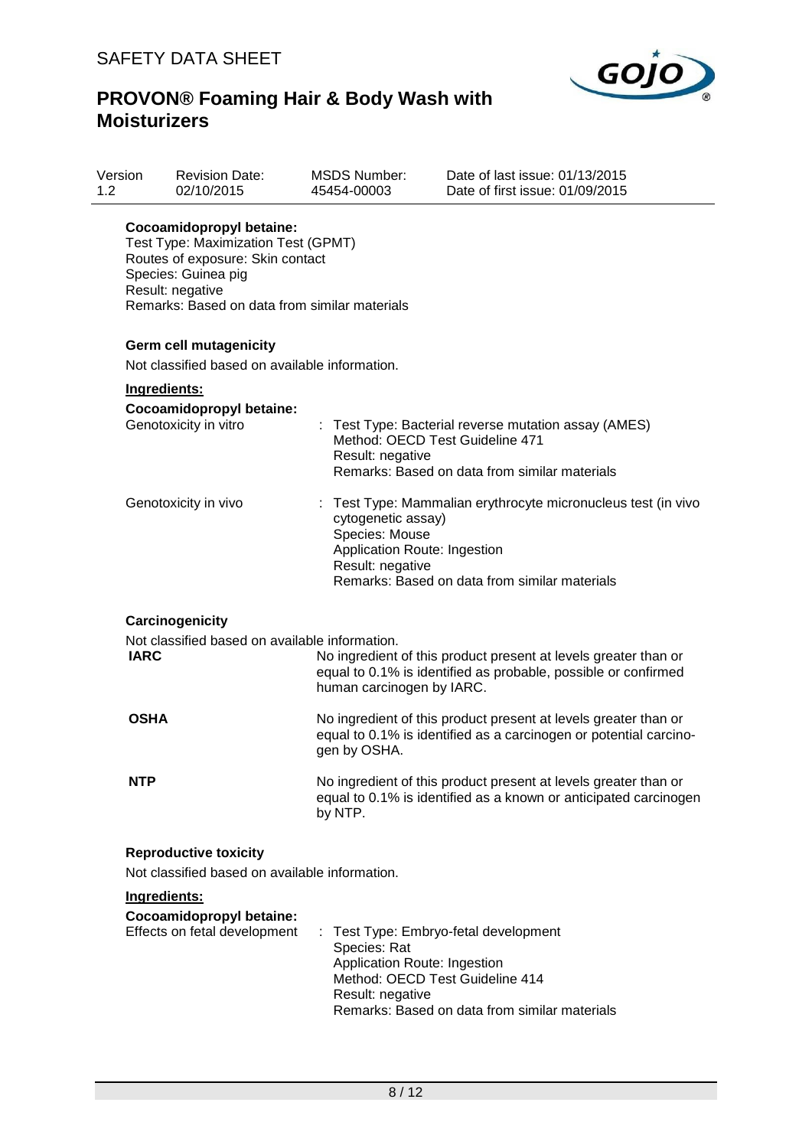

| Version<br>1.2 |                                                                          | <b>Revision Date:</b><br>02/10/2015                                                                                                                                                             | <b>MSDS Number:</b><br>45454-00003                                                       | Date of last issue: 01/13/2015<br>Date of first issue: 01/09/2015                                                                        |  |
|----------------|--------------------------------------------------------------------------|-------------------------------------------------------------------------------------------------------------------------------------------------------------------------------------------------|------------------------------------------------------------------------------------------|------------------------------------------------------------------------------------------------------------------------------------------|--|
|                |                                                                          | Cocoamidopropyl betaine:<br>Test Type: Maximization Test (GPMT)<br>Routes of exposure: Skin contact<br>Species: Guinea pig<br>Result: negative<br>Remarks: Based on data from similar materials |                                                                                          |                                                                                                                                          |  |
|                | Germ cell mutagenicity<br>Not classified based on available information. |                                                                                                                                                                                                 |                                                                                          |                                                                                                                                          |  |
|                |                                                                          |                                                                                                                                                                                                 |                                                                                          |                                                                                                                                          |  |
|                | Ingredients:                                                             |                                                                                                                                                                                                 |                                                                                          |                                                                                                                                          |  |
|                |                                                                          | Cocoamidopropyl betaine:<br>Genotoxicity in vitro                                                                                                                                               | Result: negative                                                                         | : Test Type: Bacterial reverse mutation assay (AMES)<br>Method: OECD Test Guideline 471<br>Remarks: Based on data from similar materials |  |
|                |                                                                          | Genotoxicity in vivo                                                                                                                                                                            | cytogenetic assay)<br>Species: Mouse<br>Application Route: Ingestion<br>Result: negative | : Test Type: Mammalian erythrocyte micronucleus test (in vivo<br>Remarks: Based on data from similar materials                           |  |
|                |                                                                          | Carcinogenicity                                                                                                                                                                                 |                                                                                          |                                                                                                                                          |  |
|                |                                                                          | Not classified based on available information.                                                                                                                                                  |                                                                                          |                                                                                                                                          |  |
|                | <b>IARC</b>                                                              |                                                                                                                                                                                                 | human carcinogen by IARC.                                                                | No ingredient of this product present at levels greater than or<br>equal to 0.1% is identified as probable, possible or confirmed        |  |
|                | <b>OSHA</b>                                                              |                                                                                                                                                                                                 | gen by OSHA.                                                                             | No ingredient of this product present at levels greater than or<br>equal to 0.1% is identified as a carcinogen or potential carcino-     |  |
|                | <b>NTP</b>                                                               |                                                                                                                                                                                                 | by NTP.                                                                                  | No ingredient of this product present at levels greater than or<br>equal to 0.1% is identified as a known or anticipated carcinogen      |  |
|                |                                                                          | <b>Reproductive toxicity</b><br>Not classified based on available information.                                                                                                                  |                                                                                          |                                                                                                                                          |  |
|                | Ingredients:                                                             |                                                                                                                                                                                                 |                                                                                          |                                                                                                                                          |  |
|                |                                                                          | Cocoamidopropyl betaine:<br>Effects on fetal development                                                                                                                                        | Species: Rat<br>Application Route: Ingestion<br>Result: negative                         | : Test Type: Embryo-fetal development<br>Method: OECD Test Guideline 414<br>Remarks: Based on data from similar materials                |  |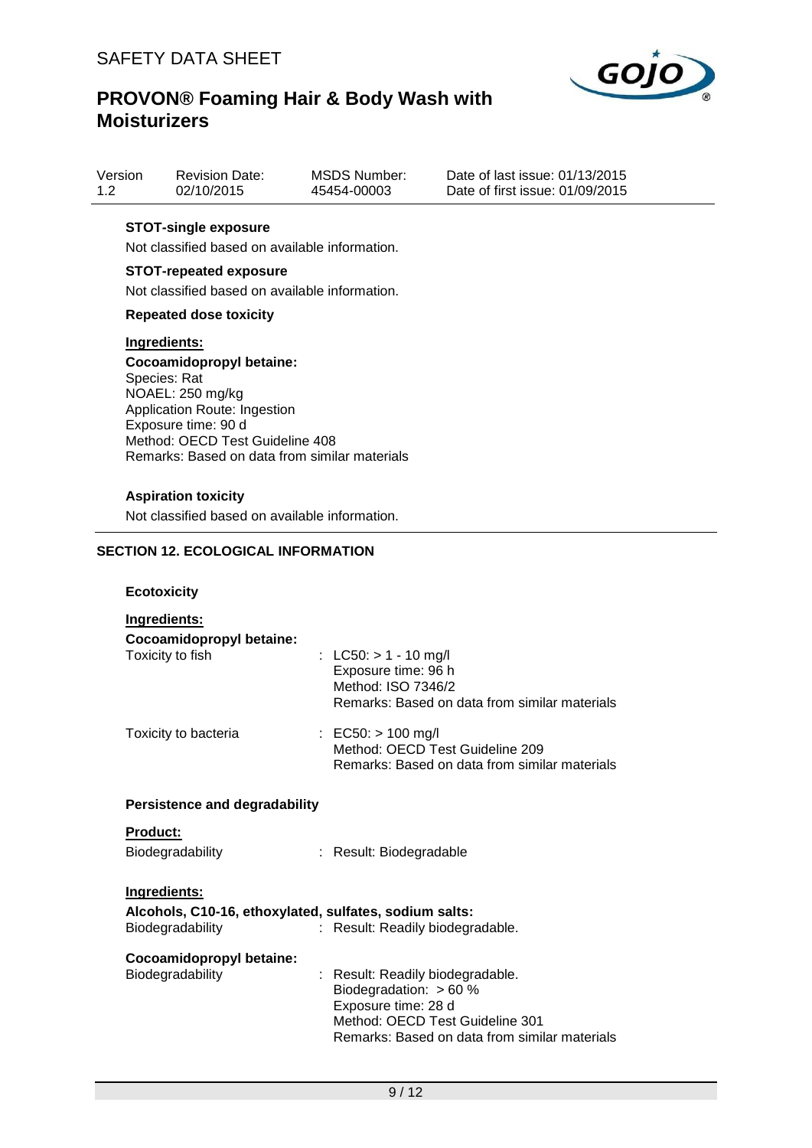

| Version | <b>Revision Date:</b> | <b>MSDS Number:</b> | Date |
|---------|-----------------------|---------------------|------|
| 1.2     | 02/10/2015            | 45454-00003         | Date |

e of last issue: 01/13/2015 e of first issue: 01/09/2015

## **STOT-single exposure**

Not classified based on available information.

#### **STOT-repeated exposure**

Not classified based on available information.

#### **Repeated dose toxicity**

#### **Ingredients:**

**Cocoamidopropyl betaine:** Species: Rat NOAEL: 250 mg/kg Application Route: Ingestion Exposure time: 90 d Method: OECD Test Guideline 408 Remarks: Based on data from similar materials

#### **Aspiration toxicity**

Not classified based on available information.

## **SECTION 12. ECOLOGICAL INFORMATION**

#### **Ecotoxicity**

| Ingredients:                                                               |                                                                                                                                                                         |
|----------------------------------------------------------------------------|-------------------------------------------------------------------------------------------------------------------------------------------------------------------------|
| Cocoamidopropyl betaine:<br>Toxicity to fish                               | : LC50: $> 1 - 10$ mg/l<br>Exposure time: 96 h<br>Method: ISO 7346/2<br>Remarks: Based on data from similar materials                                                   |
| Toxicity to bacteria                                                       | : EC50: $> 100$ mg/l<br>Method: OECD Test Guideline 209<br>Remarks: Based on data from similar materials                                                                |
| <b>Persistence and degradability</b>                                       |                                                                                                                                                                         |
| Product:                                                                   |                                                                                                                                                                         |
| <b>Biodegradability</b>                                                    | : Result: Biodegradable                                                                                                                                                 |
| Ingredients:                                                               |                                                                                                                                                                         |
| Alcohols, C10-16, ethoxylated, sulfates, sodium salts:<br>Biodegradability | : Result: Readily biodegradable.                                                                                                                                        |
| Cocoamidopropyl betaine:<br>Biodegradability                               | : Result: Readily biodegradable.<br>Biodegradation: $> 60 %$<br>Exposure time: 28 d<br>Method: OECD Test Guideline 301<br>Remarks: Based on data from similar materials |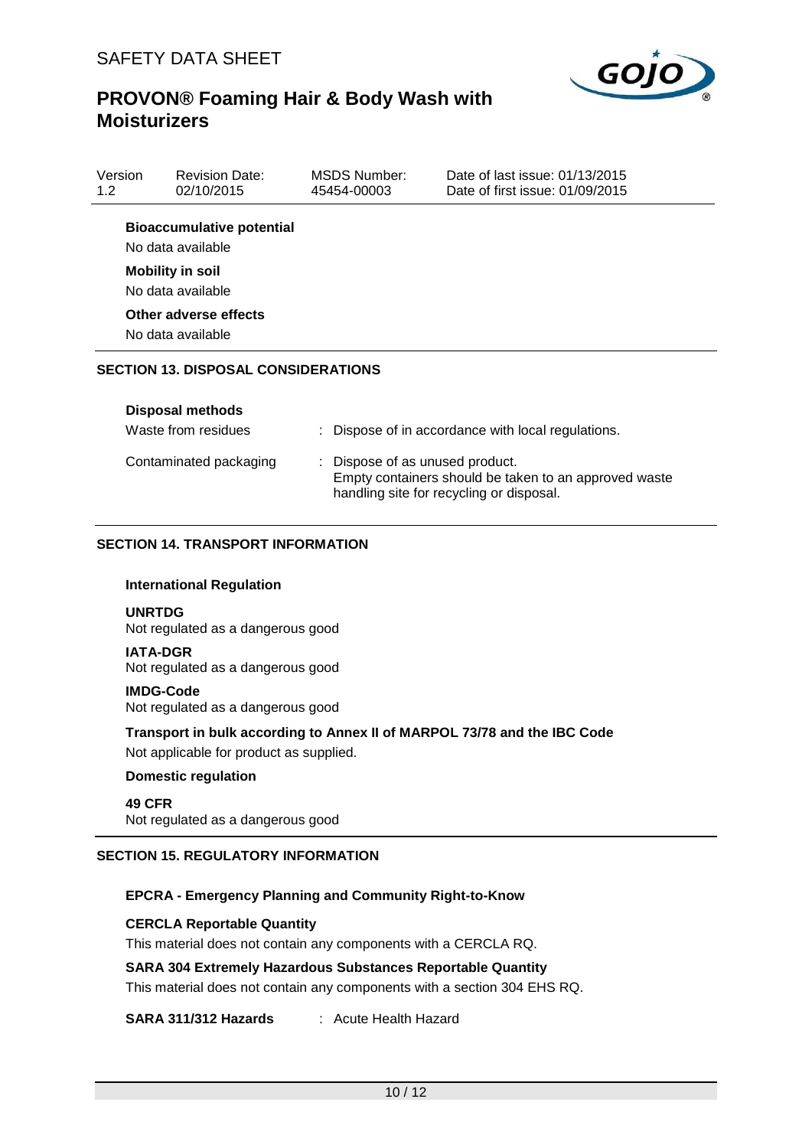

| Version<br>1.2                                        | <b>Revision Date:</b><br>02/10/2015        | <b>MSDS Number:</b><br>45454-00003 | Date of last issue: 01/13/2015<br>Date of first issue: 01/09/2015 |  |
|-------------------------------------------------------|--------------------------------------------|------------------------------------|-------------------------------------------------------------------|--|
| <b>Bioaccumulative potential</b><br>No data available |                                            |                                    |                                                                   |  |
| <b>Mobility in soil</b><br>No data available          |                                            |                                    |                                                                   |  |
|                                                       | Other adverse effects<br>No data available |                                    |                                                                   |  |

## **SECTION 13. DISPOSAL CONSIDERATIONS**

| <b>Disposal methods</b><br>Waste from residues | : Dispose of in accordance with local regulations.                                                                                   |
|------------------------------------------------|--------------------------------------------------------------------------------------------------------------------------------------|
| Contaminated packaging                         | : Dispose of as unused product.<br>Empty containers should be taken to an approved waste<br>handling site for recycling or disposal. |

## **SECTION 14. TRANSPORT INFORMATION**

#### **International Regulation**

#### **UNRTDG**

Not regulated as a dangerous good

## **IATA-DGR**

Not regulated as a dangerous good

#### **IMDG-Code**

Not regulated as a dangerous good

#### **Transport in bulk according to Annex II of MARPOL 73/78 and the IBC Code**

Not applicable for product as supplied.

#### **Domestic regulation**

```
49 CFR
Not regulated as a dangerous good
```
## **SECTION 15. REGULATORY INFORMATION**

#### **EPCRA - Emergency Planning and Community Right-to-Know**

#### **CERCLA Reportable Quantity**

This material does not contain any components with a CERCLA RQ.

#### **SARA 304 Extremely Hazardous Substances Reportable Quantity**

This material does not contain any components with a section 304 EHS RQ.

**SARA 311/312 Hazards** : Acute Health Hazard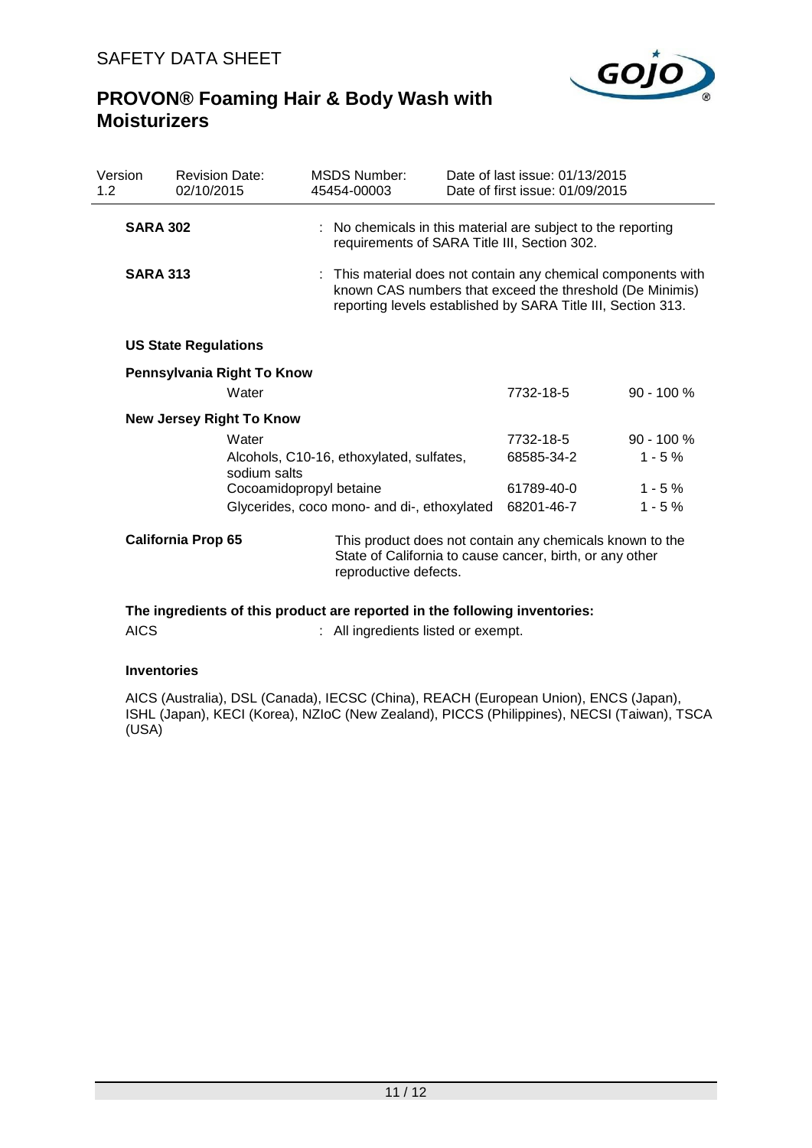

| Version<br>1.2  | <b>Revision Date:</b><br>02/10/2015 | <b>MSDS Number:</b><br>45454-00003          | Date of last issue: 01/13/2015<br>Date of first issue: 01/09/2015                                                                                                                         |              |
|-----------------|-------------------------------------|---------------------------------------------|-------------------------------------------------------------------------------------------------------------------------------------------------------------------------------------------|--------------|
| <b>SARA 302</b> |                                     |                                             | : No chemicals in this material are subject to the reporting<br>requirements of SARA Title III, Section 302.                                                                              |              |
| <b>SARA 313</b> |                                     |                                             | : This material does not contain any chemical components with<br>known CAS numbers that exceed the threshold (De Minimis)<br>reporting levels established by SARA Title III, Section 313. |              |
|                 | <b>US State Regulations</b>         |                                             |                                                                                                                                                                                           |              |
|                 | Pennsylvania Right To Know          |                                             |                                                                                                                                                                                           |              |
|                 | Water                               |                                             | 7732-18-5                                                                                                                                                                                 | $90 - 100 %$ |
|                 | <b>New Jersey Right To Know</b>     |                                             |                                                                                                                                                                                           |              |
|                 | Water                               |                                             | 7732-18-5                                                                                                                                                                                 | $90 - 100 %$ |
|                 | sodium salts                        | Alcohols, C10-16, ethoxylated, sulfates,    | 68585-34-2                                                                                                                                                                                | $1 - 5%$     |
|                 |                                     | Cocoamidopropyl betaine                     | 61789-40-0                                                                                                                                                                                | $1 - 5%$     |
|                 |                                     | Glycerides, coco mono- and di-, ethoxylated | 68201-46-7                                                                                                                                                                                | $1 - 5%$     |
|                 | <b>California Prop 65</b>           | reproductive defects.                       | This product does not contain any chemicals known to the<br>State of California to cause cancer, birth, or any other                                                                      |              |

## **The ingredients of this product are reported in the following inventories:**

| <b>AICS</b> | : All ingredients listed or exempt. |
|-------------|-------------------------------------|
|-------------|-------------------------------------|

#### **Inventories**

AICS (Australia), DSL (Canada), IECSC (China), REACH (European Union), ENCS (Japan), ISHL (Japan), KECI (Korea), NZIoC (New Zealand), PICCS (Philippines), NECSI (Taiwan), TSCA (USA)